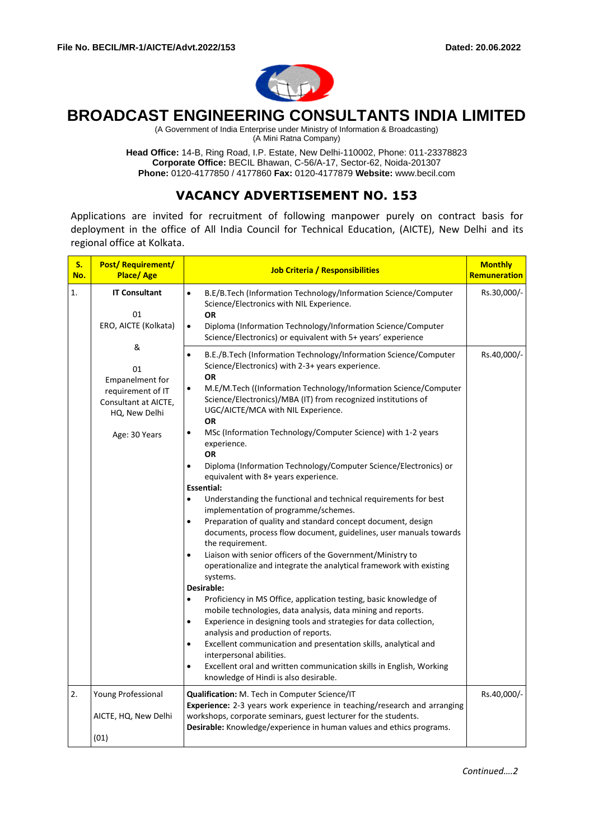

# **BROADCAST ENGINEERING CONSULTANTS INDIA LIMITED**

(A Government of India Enterprise under Ministry of Information & Broadcasting) (A Mini Ratna Company)

**Head Office:** 14-B, Ring Road, I.P. Estate, New Delhi-110002, Phone: 011-23378823 **Corporate Office:** BECIL Bhawan, C-56/A-17, Sector-62, Noida-201307 **Phone:** 0120-4177850 / 4177860 **Fax:** 0120-4177879 **Website:** www.becil.com

# **VACANCY ADVERTISEMENT NO. 153**

Applications are invited for recruitment of following manpower purely on contract basis for deployment in the office of All India Council for Technical Education, (AICTE), New Delhi and its regional office at Kolkata.

| <b>S.</b><br>No. | <b>Post/Requirement/</b><br>Place/Age                                                                     | <b>Job Criteria / Responsibilities</b>                                                                                                                                                                                                                                                                                                                                                                                                                                                                                                                                                                                                                                                                                                                                                                                                                                                                                                                                                                                                                                                                                                                                                                                                                                                                                                                                                                                                                                                                                                                                   | <b>Monthly</b><br>Remuneration |
|------------------|-----------------------------------------------------------------------------------------------------------|--------------------------------------------------------------------------------------------------------------------------------------------------------------------------------------------------------------------------------------------------------------------------------------------------------------------------------------------------------------------------------------------------------------------------------------------------------------------------------------------------------------------------------------------------------------------------------------------------------------------------------------------------------------------------------------------------------------------------------------------------------------------------------------------------------------------------------------------------------------------------------------------------------------------------------------------------------------------------------------------------------------------------------------------------------------------------------------------------------------------------------------------------------------------------------------------------------------------------------------------------------------------------------------------------------------------------------------------------------------------------------------------------------------------------------------------------------------------------------------------------------------------------------------------------------------------------|--------------------------------|
| 1.               | <b>IT Consultant</b><br>01<br>ERO, AICTE (Kolkata)                                                        | $\bullet$<br>B.E/B.Tech (Information Technology/Information Science/Computer<br>Science/Electronics with NIL Experience.<br><b>OR</b><br>$\bullet$<br>Diploma (Information Technology/Information Science/Computer<br>Science/Electronics) or equivalent with 5+ years' experience                                                                                                                                                                                                                                                                                                                                                                                                                                                                                                                                                                                                                                                                                                                                                                                                                                                                                                                                                                                                                                                                                                                                                                                                                                                                                       | Rs.30,000/-                    |
|                  | &<br>01<br>Empanelment for<br>requirement of IT<br>Consultant at AICTE,<br>HQ, New Delhi<br>Age: 30 Years | B.E./B.Tech (Information Technology/Information Science/Computer<br>$\bullet$<br>Science/Electronics) with 2-3+ years experience.<br>OR<br>M.E/M.Tech ((Information Technology/Information Science/Computer<br>Science/Electronics)/MBA (IT) from recognized institutions of<br>UGC/AICTE/MCA with NIL Experience.<br>OR<br>MSc (Information Technology/Computer Science) with 1-2 years<br>$\bullet$<br>experience.<br>OR<br>Diploma (Information Technology/Computer Science/Electronics) or<br>$\bullet$<br>equivalent with 8+ years experience.<br><b>Essential:</b><br>Understanding the functional and technical requirements for best<br>$\bullet$<br>implementation of programme/schemes.<br>Preparation of quality and standard concept document, design<br>$\bullet$<br>documents, process flow document, guidelines, user manuals towards<br>the requirement.<br>Liaison with senior officers of the Government/Ministry to<br>$\bullet$<br>operationalize and integrate the analytical framework with existing<br>systems.<br>Desirable:<br>Proficiency in MS Office, application testing, basic knowledge of<br>$\bullet$<br>mobile technologies, data analysis, data mining and reports.<br>Experience in designing tools and strategies for data collection,<br>$\bullet$<br>analysis and production of reports.<br>Excellent communication and presentation skills, analytical and<br>$\bullet$<br>interpersonal abilities.<br>Excellent oral and written communication skills in English, Working<br>$\bullet$<br>knowledge of Hindi is also desirable. | Rs.40,000/-                    |
| 2.               | Young Professional<br>AICTE, HQ, New Delhi<br>(01)                                                        | Qualification: M. Tech in Computer Science/IT<br>Experience: 2-3 years work experience in teaching/research and arranging<br>workshops, corporate seminars, guest lecturer for the students.<br>Desirable: Knowledge/experience in human values and ethics programs.                                                                                                                                                                                                                                                                                                                                                                                                                                                                                                                                                                                                                                                                                                                                                                                                                                                                                                                                                                                                                                                                                                                                                                                                                                                                                                     | Rs.40,000/-                    |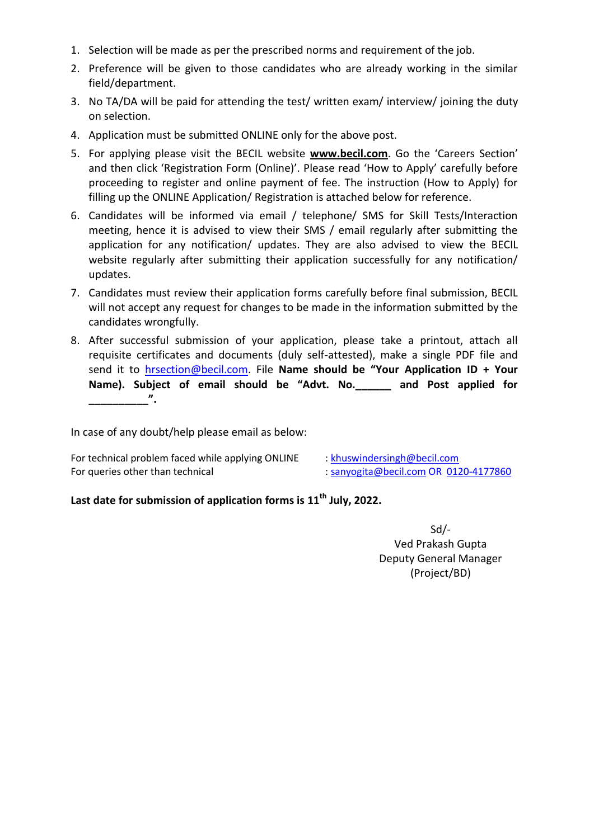- 1. Selection will be made as per the prescribed norms and requirement of the job.
- 2. Preference will be given to those candidates who are already working in the similar field/department.
- 3. No TA/DA will be paid for attending the test/ written exam/ interview/ joining the duty on selection.
- 4. Application must be submitted ONLINE only for the above post.
- 5. For applying please visit the BECIL website **[www.becil.com](http://www.becil.com/)**. Go the 'Careers Section' and then click 'Registration Form (Online)'. Please read 'How to Apply' carefully before proceeding to register and online payment of fee. The instruction (How to Apply) for filling up the ONLINE Application/ Registration is attached below for reference.
- 6. Candidates will be informed via email / telephone/ SMS for Skill Tests/Interaction meeting, hence it is advised to view their SMS / email regularly after submitting the application for any notification/ updates. They are also advised to view the BECIL website regularly after submitting their application successfully for any notification/ updates.
- 7. Candidates must review their application forms carefully before final submission, BECIL will not accept any request for changes to be made in the information submitted by the candidates wrongfully.
- 8. After successful submission of your application, please take a printout, attach all requisite certificates and documents (duly self-attested), make a single PDF file and send it to [hrsection@becil.com.](mailto:hrsection@becil.com) File **Name should be "Your Application ID + Your Name). Subject of email should be "Advt. No.\_\_\_\_\_\_ and Post applied for \_\_\_\_\_\_\_\_\_\_".**

In case of any doubt/help please email as below:

| For technical problem faced while applying ONLINE | $:$ khuswindersingh@becil.com         |
|---------------------------------------------------|---------------------------------------|
| For queries other than technical                  | : sanyogita@becil.com OR 0120-4177860 |

# **Last date for submission of application forms is 11th July, 2022.**

Sd/- Ved Prakash Gupta Deputy General Manager (Project/BD)